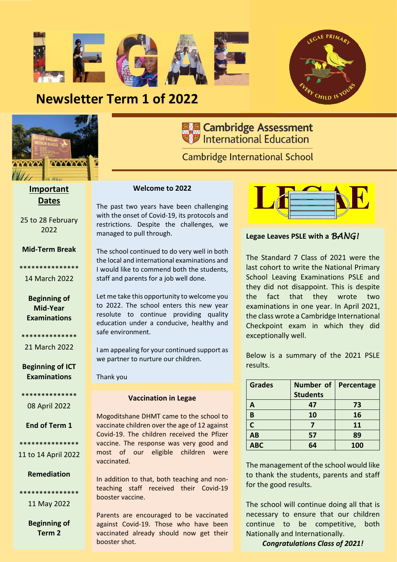

**The Cambridge Assessment**<br>**The International Education** 

**Cambridge International School** 

## **Newsletter Term 1 of 2022**



**Important** 

**Dates**

25 to 28 February 2022

**Mid-Term Break**

\*\*\*\*\*\*\*\*\*\*\*\*\*\*\* 14 March 2022

> **Beginning of Mid-Year Examinations**

\*\*\*\*\*\*\*\*\*\*\*\*\*\* 21 March 2022

**Beginning of ICT Examinations**

\*\*\*\*\*\*\*\*\*\*\*\*\*\* 08 April 2022

**End of Term 1**

\*\*\*\*\*\*\*\*\*\*\*\*\*\*\* 11 to 14 April 2022

**Remediation**

\*\*\*\*\*\*\*\*\*\*\*\*\*\*\*

11 May 2022

**Beginning of Term 2**

#### **Welcome to 2022**

The past two years have been challenging with the onset of Covid-19, its protocols and restrictions. Despite the challenges, we managed to pull through.

The school continued to do very well in both the local and international examinations and I would like to commend both the students, staff and parents for a job well done.

Let me take this opportunity to welcome you to 2022. The school enters this new year resolute to continue providing quality education under a conducive, healthy and safe environment.

I am appealing for your continued support as we partner to nurture our children.

Thank you

#### **Vaccination in Legae**

Mogoditshane DHMT came to the school to vaccinate children over the age of 12 against Covid-19. The children received the Pfizer vaccine. The response was very good and most of our eligible children were vaccinated.

In addition to that, both teaching and nonteaching staff received their Covid-19 booster vaccine.

Parents are encouraged to be vaccinated against Covid-19. Those who have been vaccinated already should now get their booster shot.



#### **Legae Leaves PSLE with a** *BANG!*

The Standard 7 Class of 2021 were the last cohort to write the National Primary School Leaving Examinations PSLE and they did not disappoint. This is despite the fact that they wrote two examinations in one year. In April 2021, the class wrote a Cambridge International Checkpoint exam in which they did exceptionally well.

Below is a summary of the 2021 PSLE results.

| <b>Grades</b> | <b>Number of</b> | Percentage |
|---------------|------------------|------------|
|               | <b>Students</b>  |            |
| A             | 47               | 73         |
| B             | 10               | 16         |
| $\mathsf{C}$  |                  | 11         |
| <b>AB</b>     | 57               | 89         |
| <b>ABC</b>    | 64               | 100        |

The management of the school would like to thank the students, parents and staff for the good results.

The school will continue doing all that is necessary to ensure that our children continue to be competitive, both Nationally and Internationally.

*Congratulations Class of 2021!*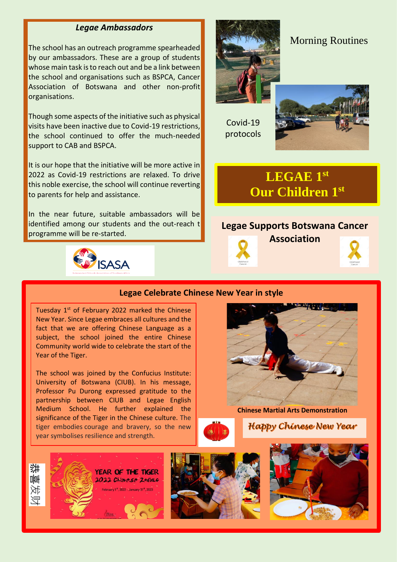#### *Legae Ambassadors*

The school has an outreach programme spearheaded by our ambassadors. These are a group of students whose main task is to reach out and be a link between the school and organisations such as BSPCA, Cancer Association of Botswana and other non-profit organisations.

Though some aspects of the initiative such as physical visits have been inactive due to Covid-19 restrictions, the school continued to offer the much-needed support to CAB and BSPCA.

It is our hope that the initiative will be more active in 2022 as Covid-19 restrictions are relaxed. To drive this noble exercise, the school will continue reverting to parents for help and assistance.

In the near future, suitable ambassadors will be identified among our students and the out-reach t programme will be re-started.





#### Morning Routines

Covid-19 protocols



## **LEGAE 1st Our Children 1st**

#### **Legae Supports Botswana Cancer**



**Association**



#### **Legae Celebrate Chinese New Year in style**

Tuesday  $1<sup>st</sup>$  of February 2022 marked the Chinese New Year. Since Legae embraces all cultures and the fact that we are offering Chinese Language as a subject, the school joined the entire Chinese Community world wide to celebrate the start of the Year of the Tiger.

The school was joined by the Confucius Institute: University of Botswana (CIUB). In his message, Professor Pu Durong expressed gratitude to the partnership between CIUB and Legae English Medium School. He further explained the significance of the Tiger in the Chinese culture. The tiger embodies courage and bravery, so the new year symbolises resilience and strength.



**Chinese Martial Arts Demonstration**

**Happy Chinese New Year** 

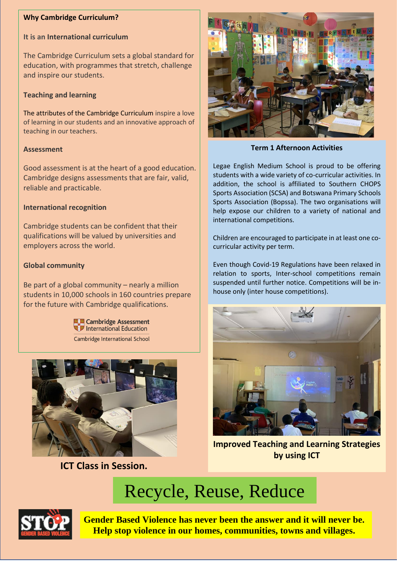#### **Why Cambridge Curriculum?**

#### **It is an [International curriculum](https://www.cambridgeinternational.org/why-choose-us/benefits-of-a-cambridge-education/international-curriculum/index.aspx)**

The Cambridge Curriculum sets a global standard for education, with programmes that stretch, challenge and inspire our students.

#### **[Teaching and learning](https://www.cambridgeinternational.org/why-choose-us/benefits-of-a-cambridge-education/teaching-and-learning/index.aspx)**

The attributes of the Cambridge Curriculum inspire a love of learning in our students and an innovative approach of teaching in our teachers.

#### **[Assessment](https://www.cambridgeinternational.org/why-choose-us/benefits-of-a-cambridge-education/assessment/index.aspx)**

Good assessment is at the heart of a good education. Cambridge designs assessments that are fair, valid, reliable and practicable.

#### **[International recognition](https://www.cambridgeinternational.org/why-choose-us/benefits-of-a-cambridge-education/international-recognition/index.aspx)**

Cambridge students can be confident that their qualifications will be valued by universities and employers across the world.

#### **[Global community](https://www.cambridgeinternational.org/why-choose-us/benefits-of-a-cambridge-education/global-community/index.aspx)**

Be part of a global community – nearly a million students in 10,000 schools in 160 countries prepare for the future with Cambridge qualifications.

> **關關 Cambridge Assessment** International Education Cambridge International School



**ICT Class in Session.**



**Term 1 Afternoon Activities**

Legae English Medium School is proud to be offering students with a wide variety of co-curricular activities. In addition, the school is affiliated to Southern CHOPS Sports Association (SCSA) and Botswana Primary Schools Sports Association (Bopssa). The two organisations will help expose our children to a variety of national and international competitions.

Children are encouraged to participate in at least one cocurricular activity per term.

Even though Covid-19 Regulations have been relaxed in relation to sports, Inter-school competitions remain suspended until further notice. Competitions will be inhouse only (inter house competitions).



**Improved Teaching and Learning Strategies by using ICT**

# Recycle, Reuse, Reduce



**Gender Based Violence has never been the answer and it will never be. Help stop violence in our homes, communities, towns and villages.**